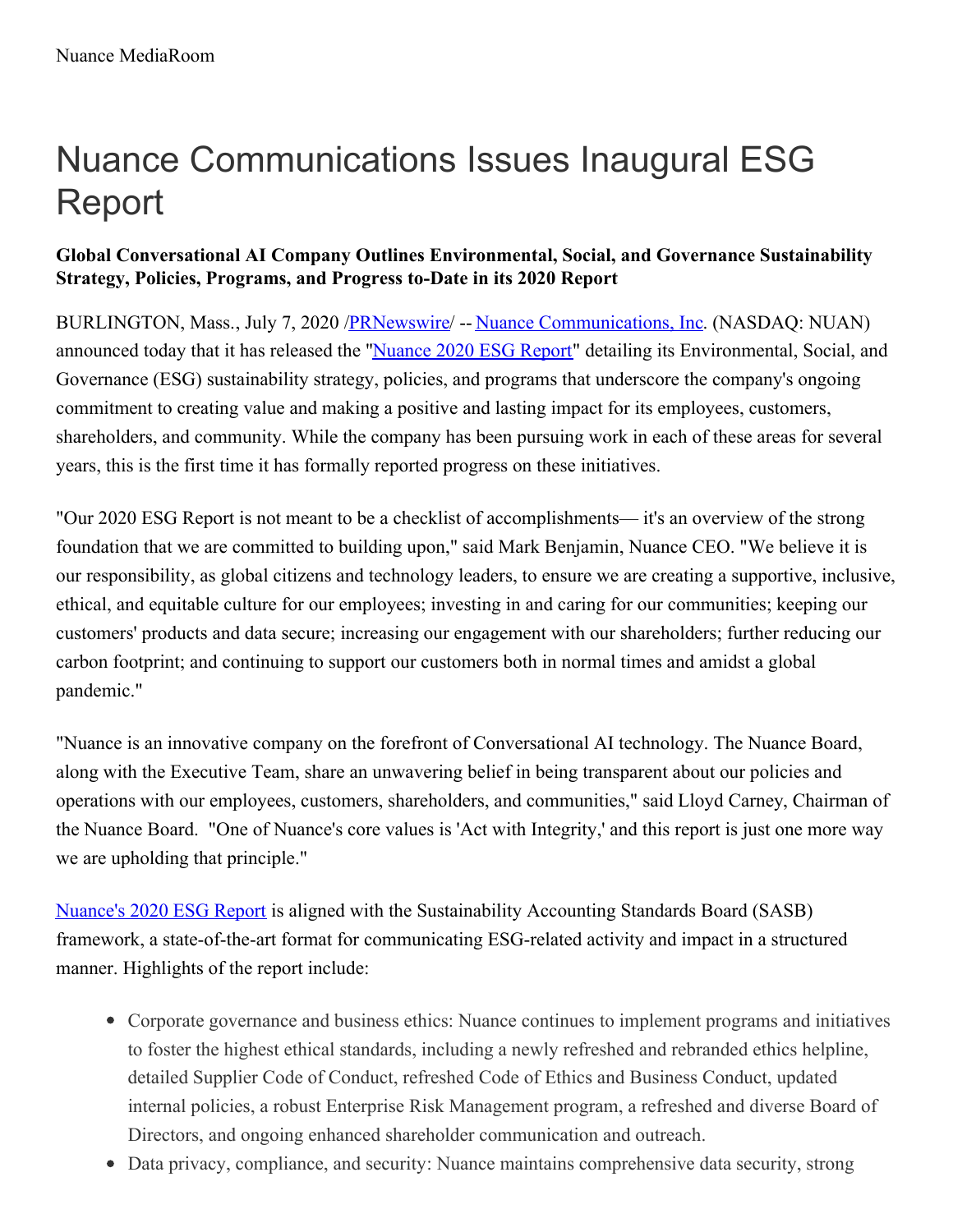# Nuance Communications Issues Inaugural ESG Report

## **Global Conversational AI Company Outlines Environmental, Social, and Governance Sustainability Strategy, Policies, Programs, and Progress to-Date in its 2020 Report**

BURLINGTON, Mass., July 7, 2020 /**PRNewswire/** -- Nuance [Communications,](https://c212.net/c/link/?t=0&l=en&o=2849995-1&h=1872344039&u=https%3A%2F%2Fwww.nuance.com%2Findex.html&a=Nuance+Communications%2C+Inc) Inc. (NASDAQ: NUAN) announced today that it has released the "[Nuance](https://c212.net/c/link/?t=0&l=en&o=2849995-1&h=1134577520&u=https%3A%2F%2Fwww.nuance.com%2Fcontent%2Fdam%2Fnuance%2Fen_us%2Fcollateral%2Fcorporate%2Freports%2Frpt-nuance-ESG-report-2020-en-us.pdf&a=Nuance+2020+ESG+Report) 2020 ESG Report" detailing its Environmental, Social, and Governance (ESG) sustainability strategy, policies, and programs that underscore the company's ongoing commitment to creating value and making a positive and lasting impact for its employees, customers, shareholders, and community. While the company has been pursuing work in each of these areas for several years, this is the first time it has formally reported progress on these initiatives.

"Our 2020 ESG Report is not meant to be a checklist of accomplishments— it's an overview of the strong foundation that we are committed to building upon," said Mark Benjamin, Nuance CEO. "We believe it is our responsibility, as global citizens and technology leaders, to ensure we are creating a supportive, inclusive, ethical, and equitable culture for our employees; investing in and caring for our communities; keeping our customers' products and data secure; increasing our engagement with our shareholders; further reducing our carbon footprint; and continuing to support our customers both in normal times and amidst a global pandemic."

"Nuance is an innovative company on the forefront of Conversational AI technology. The Nuance Board, along with the Executive Team, share an unwavering belief in being transparent about our policies and operations with our employees, customers, shareholders, and communities," said Lloyd Carney, Chairman of the Nuance Board. "One of Nuance's core values is 'Act with Integrity,' and this report is just one more way we are upholding that principle."

[Nuance's](https://c212.net/c/link/?t=0&l=en&o=2849995-1&h=3755414649&u=https%3A%2F%2Fwww.nuance.com%2Fcontent%2Fdam%2Fnuance%2Fen_us%2Fcollateral%2Fcorporate%2Freports%2Frpt-nuance-ESG-report-2020-en-us.pdf&a=Nuance%27s+2020+ESG+Report) 2020 ESG Report is aligned with the Sustainability Accounting Standards Board (SASB) framework, a state-of-the-art format for communicating ESG-related activity and impact in a structured manner. Highlights of the report include:

- Corporate governance and business ethics: Nuance continues to implement programs and initiatives to foster the highest ethical standards, including a newly refreshed and rebranded ethics helpline, detailed Supplier Code of Conduct, refreshed Code of Ethics and Business Conduct, updated internal policies, a robust Enterprise Risk Management program, a refreshed and diverse Board of Directors, and ongoing enhanced shareholder communication and outreach.
- Data privacy, compliance, and security: Nuance maintains comprehensive data security, strong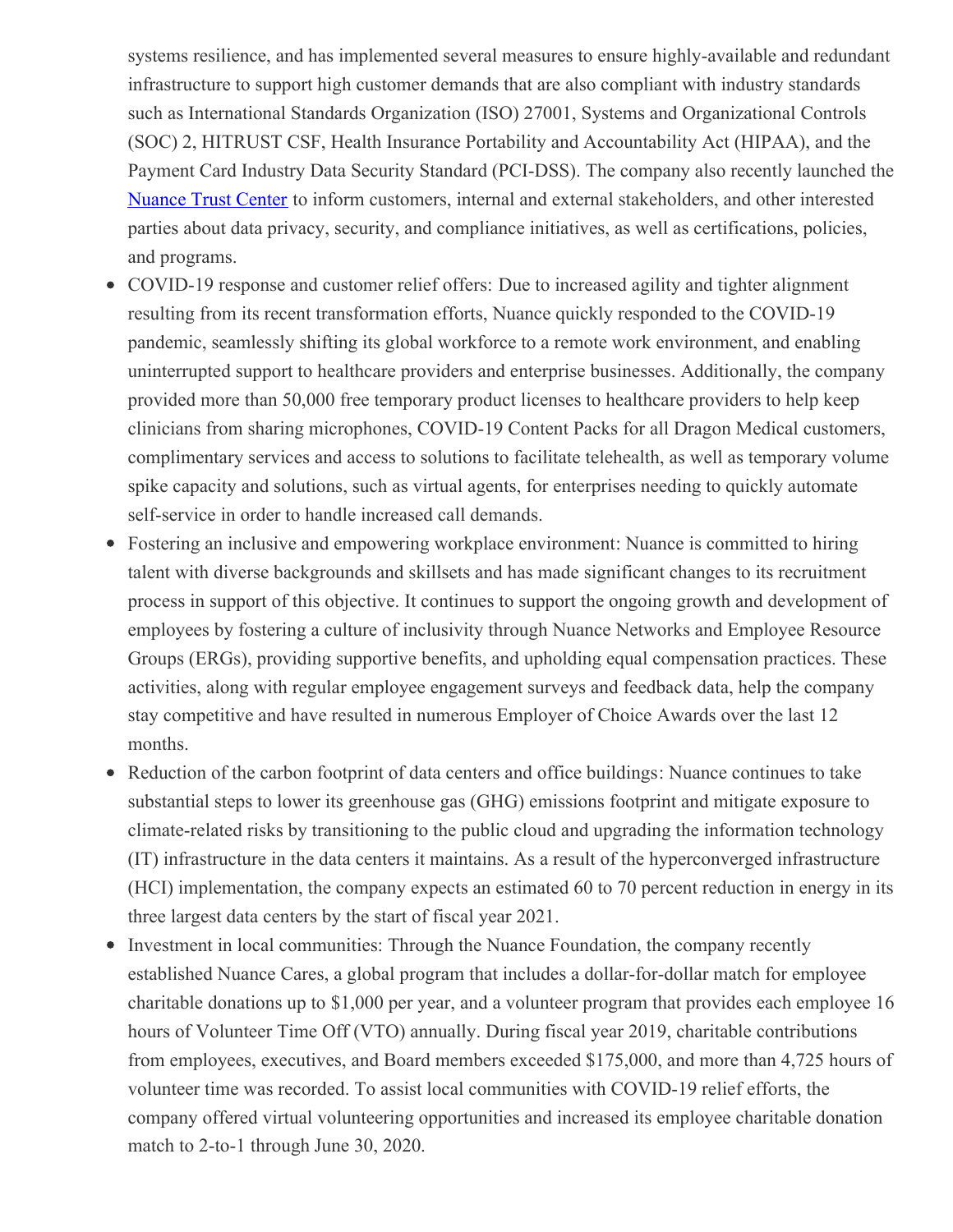systems resilience, and has implemented several measures to ensure highly-available and redundant infrastructure to support high customer demands that are also compliant with industry standards such as International Standards Organization (ISO) 27001, Systems and Organizational Controls (SOC) 2, HITRUST CSF, Health Insurance Portability and Accountability Act (HIPAA), and the Payment Card Industry Data Security Standard (PCI-DSS). The company also recently launched the [Nuance](https://c212.net/c/link/?t=0&l=en&o=2849995-1&h=3987677296&u=https%3A%2F%2Fwww.nuance.com%2Fabout-us%2Ftrust-center.html&a=Nuance+Trust+Center) Trust Center to inform customers, internal and external stakeholders, and other interested parties about data privacy, security, and compliance initiatives, as well as certifications, policies, and programs.

- COVID-19 response and customer relief offers: Due to increased agility and tighter alignment resulting from its recent transformation efforts, Nuance quickly responded to the COVID-19 pandemic, seamlessly shifting its global workforce to a remote work environment, and enabling uninterrupted support to healthcare providers and enterprise businesses. Additionally, the company provided more than 50,000 free temporary product licenses to healthcare providers to help keep clinicians from sharing microphones, COVID-19 Content Packs for all Dragon Medical customers, complimentary services and access to solutions to facilitate telehealth, as well as temporary volume spike capacity and solutions, such as virtual agents, for enterprises needing to quickly automate self-service in order to handle increased call demands.
- Fostering an inclusive and empowering workplace environment: Nuance is committed to hiring talent with diverse backgrounds and skillsets and has made significant changes to its recruitment process in support of this objective. It continues to support the ongoing growth and development of employees by fostering a culture of inclusivity through Nuance Networks and Employee Resource Groups (ERGs), providing supportive benefits, and upholding equal compensation practices. These activities, along with regular employee engagement surveys and feedback data, help the company stay competitive and have resulted in numerous Employer of Choice Awards over the last 12 months.
- Reduction of the carbon footprint of data centers and office buildings: Nuance continues to take substantial steps to lower its greenhouse gas (GHG) emissions footprint and mitigate exposure to climate-related risks by transitioning to the public cloud and upgrading the information technology (IT) infrastructure in the data centers it maintains. As a result of the hyperconverged infrastructure (HCI) implementation, the company expects an estimated 60 to 70 percent reduction in energy in its three largest data centers by the start of fiscal year 2021.
- Investment in local communities: Through the Nuance Foundation, the company recently established Nuance Cares, a global program that includes a dollar-for-dollar match for employee charitable donations up to \$1,000 per year, and a volunteer program that provides each employee 16 hours of Volunteer Time Off (VTO) annually. During fiscal year 2019, charitable contributions from employees, executives, and Board members exceeded \$175,000, and more than 4,725 hours of volunteer time was recorded. To assist local communities with COVID-19 relief efforts, the company offered virtual volunteering opportunities and increased its employee charitable donation match to 2-to-1 through June 30, 2020.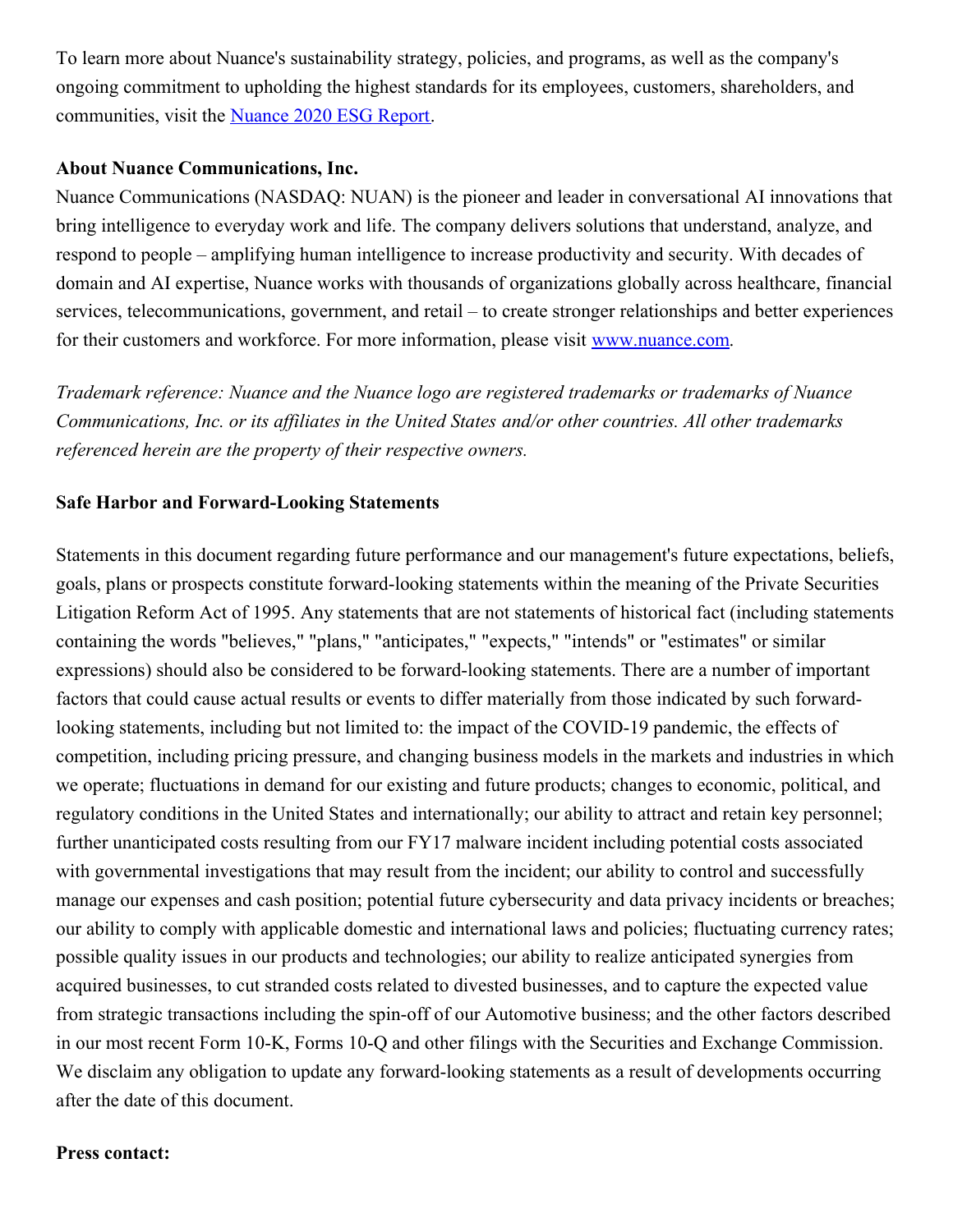To learn more about Nuance's sustainability strategy, policies, and programs, as well as the company's ongoing commitment to upholding the highest standards for its employees, customers, shareholders, and communities, visit the [Nuance](https://c212.net/c/link/?t=0&l=en&o=2849995-1&h=1134577520&u=https%3A%2F%2Fwww.nuance.com%2Fcontent%2Fdam%2Fnuance%2Fen_us%2Fcollateral%2Fcorporate%2Freports%2Frpt-nuance-ESG-report-2020-en-us.pdf&a=Nuance+2020+ESG+Report) 2020 ESG Report.

### **About Nuance Communications, Inc.**

Nuance Communications (NASDAQ: NUAN) is the pioneer and leader in conversational AI innovations that bring intelligence to everyday work and life. The company delivers solutions that understand, analyze, and respond to people – amplifying human intelligence to increase productivity and security. With decades of domain and AI expertise, Nuance works with thousands of organizations globally across healthcare, financial services, telecommunications, government, and retail – to create stronger relationships and better experiences for their customers and workforce. For more information, please visit [www.nuance.com](https://c212.net/c/link/?t=0&l=en&o=2849995-1&h=2549410576&u=http%3A%2F%2Fwww.nuance.com%2F&a=www.nuance.com).

*Trademark reference: Nuance and the Nuance logo are registered trademarks or trademarks of Nuance Communications, Inc. or its af iliates in the United States and/or other countries. All other trademarks referenced herein are the property of their respective owners.*

#### **Safe Harbor and Forward-Looking Statements**

Statements in this document regarding future performance and our management's future expectations, beliefs, goals, plans or prospects constitute forward-looking statements within the meaning of the Private Securities Litigation Reform Act of 1995. Any statements that are not statements of historical fact (including statements containing the words "believes," "plans," "anticipates," "expects," "intends" or "estimates" or similar expressions) should also be considered to be forward-looking statements. There are a number of important factors that could cause actual results or events to differ materially from those indicated by such forwardlooking statements, including but not limited to: the impact of the COVID-19 pandemic, the effects of competition, including pricing pressure, and changing business models in the markets and industries in which we operate; fluctuations in demand for our existing and future products; changes to economic, political, and regulatory conditions in the United States and internationally; our ability to attract and retain key personnel; further unanticipated costs resulting from our FY17 malware incident including potential costs associated with governmental investigations that may result from the incident; our ability to control and successfully manage our expenses and cash position; potential future cybersecurity and data privacy incidents or breaches; our ability to comply with applicable domestic and international laws and policies; fluctuating currency rates; possible quality issues in our products and technologies; our ability to realize anticipated synergies from acquired businesses, to cut stranded costs related to divested businesses, and to capture the expected value from strategic transactions including the spin-off of our Automotive business; and the other factors described in our most recent Form 10-K, Forms 10-Q and other filings with the Securities and Exchange Commission. We disclaim any obligation to update any forward-looking statements as a result of developments occurring after the date of this document.

#### **Press contact:**